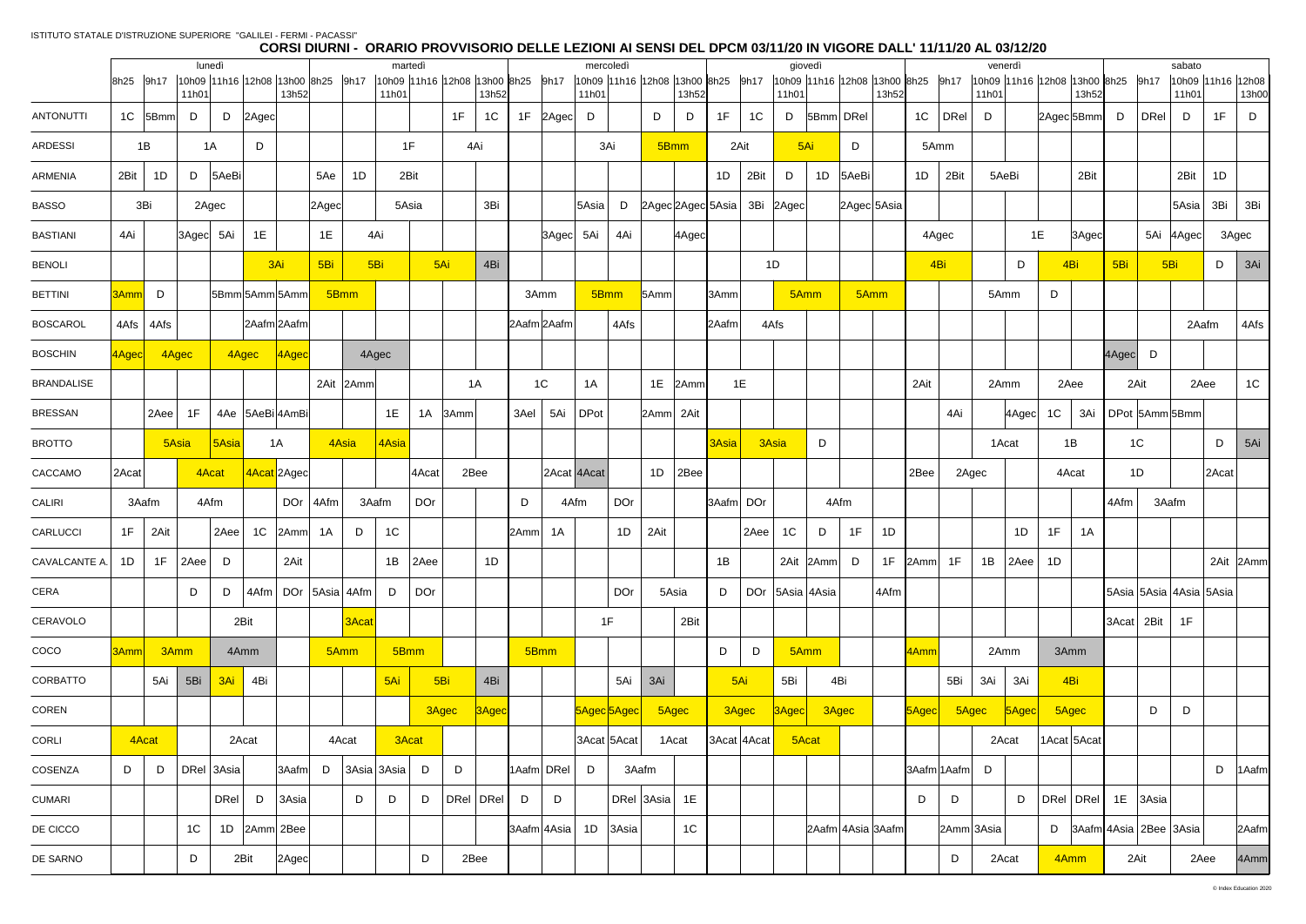|                   |       |               |                |            |            |                                            |                 |                                         |                  |                              |                | mercoledì |                              |              |             |       |                   | giovedì |                                   |                     |           |                                            | venerdì        |             |       |                              |                |       |         |                             |                 |                   |            |
|-------------------|-------|---------------|----------------|------------|------------|--------------------------------------------|-----------------|-----------------------------------------|------------------|------------------------------|----------------|-----------|------------------------------|--------------|-------------|-------|-------------------|---------|-----------------------------------|---------------------|-----------|--------------------------------------------|----------------|-------------|-------|------------------------------|----------------|-------|---------|-----------------------------|-----------------|-------------------|------------|
|                   |       | 8h25 9h17     | 11h01          | lunedì     |            | 10h09 11h16 12h08 13h00 8h25 9h17<br>13h52 |                 |                                         | martedì<br>11h01 | 10h09 11h16 12h08 13h00 8h25 | 13h52          |           | 9h17                         | 11h01        |             |       | 13h52             |         | 10h09 11h16 12h08 13h00 8h25 9h17 | 11h01               |           | 10h09 11h16 12h08 13h00 8h25 9h17<br>13h52 |                |             | 11h01 | 10h09 11h16 12h08 13h00 8h25 |                | 13h52 |         | 9h17                        | sabato<br>11h01 | 10h09 11h16 12h08 | 13h00      |
| <b>ANTONUTTI</b>  |       | $1C$  5Bmm    | D              |            | $D$  2Agec |                                            |                 |                                         |                  | 1F                           | 1 <sup>C</sup> |           | 1F 2Agec D                   |              |             | D     | D                 | 1F      | 1C                                | D                   | 5Bmm DRel |                                            | 1 <sup>C</sup> | DRel        | D     |                              | 2Agec 5Bmm     |       | D       | DRel                        | D               | 1F                | D          |
| <b>ARDESSI</b>    |       | 1B            |                | 1A         | D          |                                            |                 |                                         | 1F               |                              | 4Ai            |           |                              |              | 3Ai         |       | 5Bmm              |         | 2Ait                              |                     | 5Ai       | D                                          |                | 5Amm        |       |                              |                |       |         |                             |                 |                   |            |
| ARMENIA           | 2Bit  | 1D            | D              | 5AeBi      |            |                                            | 5Ae             | 1D                                      | 2Bit             |                              |                |           |                              |              |             |       |                   | 1D      | 2Bit                              | D                   | 1D        | 5AeBi                                      | 1D             | 2Bit        |       | 5AeBi                        |                | 2Bit  |         |                             | 2Bit            | 1D                |            |
| <b>BASSO</b>      |       | 3Bi           |                | 2Agec      |            |                                            | $2 \text{Agec}$ |                                         | 5Asia            |                              | 3Bi            |           |                              | 5Asia        | D           |       | 2Agec 2Agec 5Asia |         |                                   | 3Bi 2Agec           |           | 2Agec 5Asia                                |                |             |       |                              |                |       |         |                             | 5Asia           | 3Bi               | 3Bi        |
| <b>BASTIANI</b>   | 4Ai   |               | 3Agec 5Ai      |            | 1E         |                                            | 1E              | 4Ai                                     |                  |                              |                |           | 3Agec 5Ai                    |              | 4Ai         |       | 4Agec             |         |                                   |                     |           |                                            |                | 4Agec       |       |                              | 1E             | 3Agec |         | 5Ai 4Agec                   |                 | 3Agec             |            |
| <b>BENOLI</b>     |       |               |                |            |            | 3Ai                                        | 5Bi             | 5Bi                                     |                  | 5Ai                          | 4Bi            |           |                              |              |             |       |                   |         |                                   | 1D                  |           |                                            |                | 4Bi         |       | D                            |                | 4Bi   | 5Bi     | 5B <sub>i</sub>             |                 | $D$ 3Ai           |            |
| <b>BETTINI</b>    | 3Amm  | D             |                |            |            | 5Bmm 5Amm 5Amm                             |                 | 5Bmm                                    |                  |                              |                |           | 3Amm                         |              | 5Bmm        | 5Amm  |                   | 3Amm    |                                   |                     | 5Amm      | 5Amm                                       |                |             |       | 5Amm                         | D              |       |         |                             |                 |                   |            |
| <b>BOSCAROL</b>   |       | $4Afs$ $4Afs$ |                |            |            | 2Aafm 2Aafm                                |                 |                                         |                  |                              |                |           | 2Aafm 2Aafm                  |              | 4Afs        |       |                   | 2Aafm   |                                   | 4Afs                |           |                                            |                |             |       |                              |                |       |         |                             | 2Aafm           |                   | 4Afs       |
| <b>BOSCHIN</b>    | 4Agec |               | 4Agec          |            | 4Agec      | $ 4A$ gec                                  |                 | 4Agec                                   |                  |                              |                |           |                              |              |             |       |                   |         |                                   |                     |           |                                            |                |             |       |                              |                |       | 4Agec D |                             |                 |                   |            |
| <b>BRANDALISE</b> |       |               |                |            |            |                                            |                 | 2Ait 2Amm                               |                  |                              | 1A             |           | 1C                           | 1A           |             | 1E    | 2Amm              |         | 1E                                |                     |           |                                            | 2Ait           |             |       | 2Amm                         | 2Aee           |       |         | 2Ait                        | 2Aee            |                   | 1C         |
| <b>BRESSAN</b>    |       | 2Aee          | 1F             |            |            | 4Ae   5AeBi 4AmBi                          |                 |                                         | 1E               | $1A$ 3Amm                    |                | 3Ael      | 5Ai                          | $\vert$ DPot |             | 2Amm  | 2Ait              |         |                                   |                     |           |                                            |                | 4Ai         |       | $ 4 \text{Agec} $            | 1 <sup>C</sup> | 3Ai   |         | DPot 5Amm 5Bmm              |                 |                   |            |
| <b>BROTTO</b>     |       |               | 5Asia          | $ 5A$ sia  |            | 1A                                         |                 | 4Asia                                   | 4Asia            |                              |                |           |                              |              |             |       |                   | 3Asia   | 3Asia                             |                     | D         |                                            |                |             |       | 1Acat                        |                | 1B    |         | 1 <sup>C</sup>              |                 | D                 | 5Ai        |
| CACCAMO           | 2Acat |               |                | 4Acat      |            | 4Acat 2Agec                                |                 |                                         |                  | 4Acat                        | 2Bee           |           |                              | 2Acat 4Acat  |             | 1D    | 2Bee              |         |                                   |                     |           |                                            | 2Bee           |             | 2Agec |                              | 4Acat          |       |         | 1D                          |                 | 2Acat             |            |
| CALIRI            |       | 3Aafm         |                | 4Afm       |            |                                            | DOr 4Afm        | 3Aafm                                   |                  | <b>DOr</b>                   |                | D         |                              | 4Afm         | DOr         |       |                   |         | 3Aafm DOr                         |                     |           | 4Afm                                       |                |             |       |                              |                |       | 4Afm    | 3Aafm                       |                 |                   |            |
| <b>CARLUCCI</b>   | 1F    | 2Ait          |                | 2Aee       |            | 1C 2Amm                                    | 1A              | D                                       | 1C               |                              |                | 2Amm      | 1A                           |              | 1D          | 2Ait  |                   |         | 2Aee                              | 1 <sup>C</sup>      | D         | 1F<br>1D                                   |                |             |       | 1D                           | 1F             | 1A    |         |                             |                 |                   |            |
| CAVALCANTE A.     | 1D    | 1F            | 2Aee           | D          |            | 2Ait                                       |                 |                                         |                  | $1B$ 2Aee                    | 1D             |           |                              |              |             |       |                   | 1B      |                                   |                     | 2Ait 2Amm | 1F<br>D                                    | 2Amm           | 1F          | 1B    | $ 2Aee $ 1D                  |                |       |         |                             |                 | 2Ait 2Amm         |            |
| CERA              |       |               | D              | D          |            |                                            |                 | $ 4A$ fm $ $ DOr $ 5A$ sia $ 4A$ fm $ $ | D                | <b>DOr</b>                   |                |           |                              |              | <b>DOr</b>  |       | 5Asia             | D       |                                   | DOr   5Asia   4Asia |           | 4Afm                                       |                |             |       |                              |                |       |         | 5Asia 5Asia 4Asia 5Asia     |                 |                   |            |
| CERAVOLO          |       |               |                |            | 2Bit       |                                            |                 | 3Acat                                   |                  |                              |                |           |                              |              | 1F          |       | 2Bit              |         |                                   |                     |           |                                            |                |             |       |                              |                |       |         | $ 3$ Acat $ 2$ Bit $ 1$ F   |                 |                   |            |
| COCO              | 3Amm  |               | 3Amm           |            | 4Amm       |                                            |                 | 5Amm                                    | 5Bmm             |                              |                |           | 5Bmm                         |              |             |       |                   | D       | D                                 |                     | 5Amm      |                                            | 4Amm           |             |       | 2Amm                         | 3Amm           |       |         |                             |                 |                   |            |
| CORBATTO          |       | 5Ai           | 5Bi            |            | 3Ai 4Bi    |                                            |                 |                                         | 5Ai              | 5Bi                          | 4Bi            |           |                              |              | 5Ai         | 3Ai   |                   |         | 5Ai                               | 5Bi                 |           | 4Bi                                        |                | 5Bi         | 3Ai   | 3Ai                          | 4Bi            |       |         |                             |                 |                   |            |
| COREN             |       |               |                |            |            |                                            |                 |                                         |                  | 3Agec                        | 3Agec          |           |                              | 5Agec 5Agec  |             |       | 5Agec             |         | 3Agec                             | $ 3A\text{gec} $    |           | 3Agec                                      | $5$ Agec       |             | 5Agec | $ 5 \text{Agec} $            | 5Agec          |       |         | D                           | D               |                   |            |
| CORLI             |       | 4Acat         |                |            | 2Acat      |                                            |                 | 4Acat                                   | 3Acat            |                              |                |           |                              | 3Acat 5Acat  |             |       | 1Acat             |         | 3Acat 4Acat                       |                     | 5Acat     |                                            |                |             |       | 2Acat                        | 1Acat 5Acat    |       |         |                             |                 |                   |            |
| COSENZA           | D     | D             |                | DRel 3Asia |            | 3Aafm                                      | D               | $ 3$ Asia $ 3$ Asia $ D $               |                  | D                            |                |           | 1Aafm DRel                   | D            |             | 3Aafm |                   |         |                                   |                     |           |                                            |                | 3Aafm 1Aafm | D     |                              |                |       |         |                             |                 |                   | $D$  1Aafm |
| <b>CUMARI</b>     |       |               |                |            | $DRel$ $D$ | $ 3$ Asia                                  |                 | D                                       | D                | D<br> DRel DRel              |                | D         | D                            |              | DRel  3Asia |       | 1E                |         |                                   |                     |           |                                            | D              | D           |       | D                            | DRel DRel      |       |         | 1E 3Asia                    |                 |                   |            |
| DE CICCO          |       |               | 1 <sup>C</sup> |            |            | 1D 2Amm 2Bee                               |                 |                                         |                  |                              |                |           | 3Aafm 4A <sub>S</sub> ia  1D |              | $ 3$ Asia   |       | 1 <sup>C</sup>    |         |                                   |                     |           | 2Aafm 4Asia 3Aafm                          |                | 2Amm 3Asia  |       |                              |                |       |         | D $ 3Aafm 4ASia 2Bee 3ASia$ |                 |                   | 2Aafm      |
| DE SARNO          |       |               | D              |            | 2Bit       | $ 2 \text{Agec} $                          |                 |                                         |                  | D                            | 2Bee           |           |                              |              |             |       |                   |         |                                   |                     |           |                                            |                | D           |       | 2Acat                        | 4Amm           |       |         | 2Ait                        | 2Aee            |                   | 4Amm       |
|                   |       |               |                |            |            |                                            |                 |                                         |                  |                              |                |           |                              |              |             |       |                   |         |                                   |                     |           |                                            |                |             |       |                              |                |       |         |                             |                 |                   |            |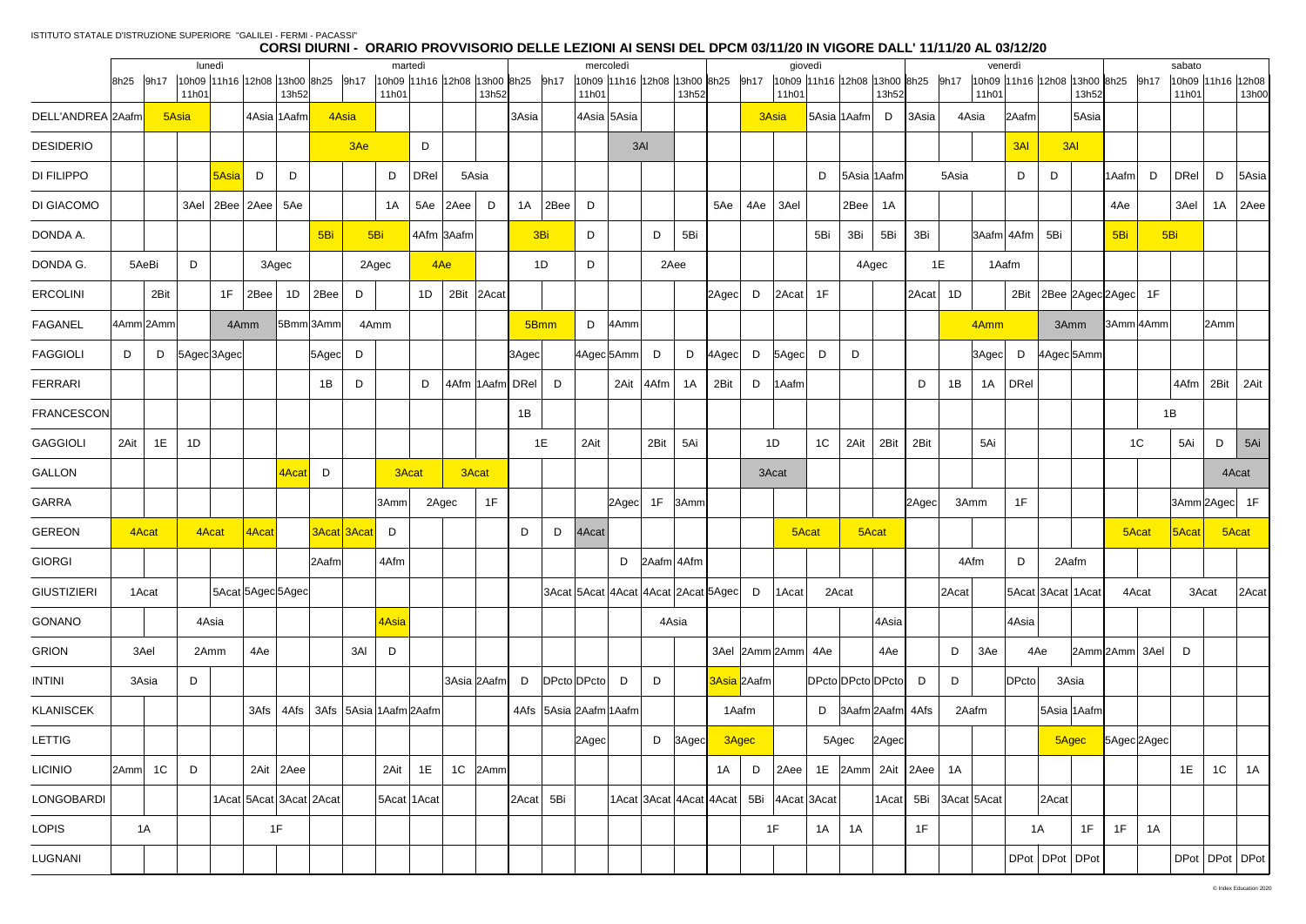|                    |              |                | lunedì |             |           |                                            |       |                    | martedì |                             |              |                                            |           |                | mercoledì                              |                              |       |                |                         |      | giovedì            |                |                                       |                   |             |       | venerdì    |           |                                       |       |            | sabato        |       |                            |
|--------------------|--------------|----------------|--------|-------------|-----------|--------------------------------------------|-------|--------------------|---------|-----------------------------|--------------|--------------------------------------------|-----------|----------------|----------------------------------------|------------------------------|-------|----------------|-------------------------|------|--------------------|----------------|---------------------------------------|-------------------|-------------|-------|------------|-----------|---------------------------------------|-------|------------|---------------|-------|----------------------------|
|                    | 9h17<br>8h25 |                | 11h01  |             |           | 10h09 11h16 12h08 13h00 8h25 9h17<br>13h52 |       |                    | 11h01   |                             |              | 10h09 11h16 12h08 13h00 8h25 9h17<br>13h52 |           |                | 10h09 11h16 12h08 13h00 8h25<br>11h01  |                              |       | 13h52          |                         | 9h17 | 11h01              |                | 10h09 11h16 12h08 13h00 8h25<br>13h52 |                   | 9h17        | 11h01 |            |           | 10h09 11h16 12h08 13h00 8h25<br>13h52 |       | 9h17       | 11h01         |       | 10h09 11h16 12h08<br>13h00 |
| DELL'ANDREA 2Aafm  |              | 5Asia          |        |             |           | 4Asia 1Aafm                                |       | 4Asia              |         |                             |              |                                            | 3Asia     |                | 4Asia 5Asia                            |                              |       |                |                         |      | 3Asia              |                | 5Asia 1Aafm<br>D                      | 3Asia             |             | 4Asia | 2Aafm      |           | 5Asia                                 |       |            |               |       |                            |
| <b>DESIDERIO</b>   |              |                |        |             |           |                                            |       | 3Ae                |         | D                           |              |                                            |           |                |                                        | 3AI                          |       |                |                         |      |                    |                |                                       |                   |             |       | 3AI        |           | 3AI                                   |       |            |               |       |                            |
| <b>DI FILIPPO</b>  |              |                |        | 5Asia       | D         | D                                          |       |                    | D       | <b>DRel</b>                 |              | 5Asia                                      |           |                |                                        |                              |       |                |                         |      |                    | D              | 5Asia 1Aafm                           |                   | 5Asia       |       | D          | D         |                                       | 1Aafm | D          | <b>DRel</b>   | D     | 5Asia                      |
| DI GIACOMO         |              |                | 3Ael   |             | 2Bee 2Aee | 5Ae                                        |       |                    | 1A      |                             | $5Ae$   2Aee | D                                          |           | $1A \mid 2Bee$ | D                                      |                              |       |                | 5Ae                     | 4Ae  | 3Ael               |                | 2Bee<br>1A                            |                   |             |       |            |           |                                       | 4Ae   |            | 3Ael          | 1A    | 2Aee                       |
| DONDA A.           |              |                |        |             |           |                                            | 5Bi   | 5Bi                |         | 4Afm 3Aafm                  |              |                                            |           | 3Bi            | D                                      |                              | D     | 5Bi            |                         |      |                    | 5Bi            | 3Bi<br>5Bi                            | 3Bi               |             |       | 3Aafm 4Afm | 5Bi       |                                       | 5Bi   | 5Bi        |               |       |                            |
| DONDA G.           | 5AeBi        |                | D      |             |           | 3Agec                                      |       | 2Agec              |         |                             | 4Ae          |                                            |           | 1D             | D                                      |                              | 2Aee  |                |                         |      |                    |                | 4Agec                                 |                   | 1E          |       | 1Aafm      |           |                                       |       |            |               |       |                            |
| <b>ERCOLINI</b>    |              | 2Bit           |        | 1F          | 2Bee      | 1D                                         | 2Bee  | D                  |         | 1D                          |              | 2Bit 2Acat                                 |           |                |                                        |                              |       |                | $2 \text{Agec}$         | D    | $ 2$ Acat $ $      | 1F             |                                       | 2Acat             | 1D          |       | 2Bit       |           | $2Bee$ 2Agec 2Agec 1F                 |       |            |               |       |                            |
| <b>FAGANEL</b>     | 4Amm 2Amm    |                |        | 4Amm        |           | 5Bmm3Amm                                   |       | 4Amm               |         |                             |              |                                            |           | 5Bmm           | D                                      | 4Amm                         |       |                |                         |      |                    |                |                                       |                   |             | 4Amm  |            |           | 3Amm                                  |       | 3Amm 4Amm  |               | 2Amm  |                            |
| <b>FAGGIOLI</b>    | D            | D              |        | 5Agec 3Agec |           |                                            | 5Agec | D                  |         |                             |              |                                            | 3Agec     |                | 4Agec 5Amm D                           |                              |       | D              | 4Agec                   | D    | 5Agec              | D              | D                                     |                   |             | 3Agec | D          |           | 4Agec 5Amm                            |       |            |               |       |                            |
| <b>FERRARI</b>     |              |                |        |             |           |                                            | 1B    | D                  |         | D                           |              | 4Afm  1Aafm <b> </b> DRel                  |           | - D            |                                        | 2Ait 4Afm                    |       | 1A             | 2Bit                    | D    | 1Aafm              |                |                                       | D                 | 1B          | 1A    | DRel       |           |                                       |       |            | 4Afm          | 2Bit  | 2Ait                       |
| <b>FRANCESCON</b>  |              |                |        |             |           |                                            |       |                    |         |                             |              |                                            | 1B        |                |                                        |                              |       |                |                         |      |                    |                |                                       |                   |             |       |            |           |                                       |       | 1B         |               |       |                            |
| <b>GAGGIOLI</b>    | 2Ait         | 1E             | 1D     |             |           |                                            |       |                    |         |                             |              |                                            |           | 1E             | 2Ait                                   |                              | 2Bit  | 5Ai            |                         |      | 1D                 | 1 <sup>C</sup> | 2Bit<br>2Ait                          | 2Bit              |             | 5Ai   |            |           |                                       |       | 1C         | 5Ai           | D     | 5Ai                        |
| <b>GALLON</b>      |              |                |        |             |           | 4Acat                                      | D     |                    |         | 3Acat                       |              | 3Acat                                      |           |                |                                        |                              |       |                |                         |      | 3Acat              |                |                                       |                   |             |       |            |           |                                       |       |            |               | 4Acat |                            |
| <b>GARRA</b>       |              |                |        |             |           |                                            |       |                    | 3Amm    | 2Agec                       |              | 1F                                         |           |                |                                        | $ 2A\text{sec} $ 1F $ 3Amm $ |       |                |                         |      |                    |                |                                       | $ 2 \text{Agec} $ |             | 3Amm  | 1F         |           |                                       |       |            | 3Amm 2Agec 1F |       |                            |
| <b>GEREON</b>      | 4Acat        |                | 4Acat  |             | 4Acat     |                                            |       | <b>3Acat 3Acat</b> | D       |                             |              |                                            | D         | D              | 4Acat                                  |                              |       |                |                         |      | 5Acat              |                | 5Acat                                 |                   |             |       |            |           |                                       | 5Acat |            | $ 5$ Acat     | 5Acat |                            |
| <b>GIORGI</b>      |              |                |        |             |           |                                            | 2Aafm |                    | 4Afm    |                             |              |                                            |           |                |                                        |                              |       | $D$ 2Aafm 4Afm |                         |      |                    |                |                                       |                   |             | 4Afm  | D          |           | 2Aafm                                 |       |            |               |       |                            |
| <b>GIUSTIZIERI</b> | 1Acat        |                |        |             |           | 5Acat 5Agec 5Agec                          |       |                    |         |                             |              |                                            |           |                | 3Acat 5Acat 4Acat 4Acat 2Acat 5Agec  D |                              |       |                |                         |      | 1Acat              |                | 2Acat                                 |                   | 2Acat       |       |            |           | 5Acat 3Acat 1Acat                     | 4Acat |            | 3Acat         |       | 2Acat                      |
| <b>GONANO</b>      |              |                | 4Asia  |             |           |                                            |       |                    | 4Asia   |                             |              |                                            |           |                |                                        |                              | 4Asia |                |                         |      |                    |                | 4Asia                                 |                   |             |       | 4Asia      |           |                                       |       |            |               |       |                            |
| <b>GRION</b>       | 3Ael         |                | 2Amm   |             | 4Ae       |                                            |       | 3AI                | D       |                             |              |                                            |           |                |                                        |                              |       |                |                         |      | 3Ael 2Amm 2Amm 4Ae |                | 4Ae                                   |                   | D           | 3Ae   | 4Ae        |           | 2Amm2Amm 3Ael                         |       |            | D             |       |                            |
| <b>INTINI</b>      | 3Asia        |                | D      |             |           |                                            |       |                    |         |                             |              | 3Asia 2Aafm                                | D         |                | DPcto DPcto D                          |                              | D     |                | 3Asia 2Aafm             |      |                    |                | DPcto DPcto DPcto                     | D                 | D           |       | DPcto      |           | 3Asia                                 |       |            |               |       |                            |
| <b>KLANISCEK</b>   |              |                |        |             | 3Afs      |                                            |       |                    |         | 4Afs 3Afs 5Asia 1Aafm 2Aafm |              |                                            |           |                | 4Afs   5Asia   2Aafm   1Aafm           |                              |       |                | 1Aafm                   |      |                    |                | $D$ 3Aafm 2Aafm 4Afs                  |                   |             | 2Aafm |            |           | 5Asia 1Aafm                           |       |            |               |       |                            |
| <b>LETTIG</b>      |              |                |        |             |           |                                            |       |                    |         |                             |              |                                            |           |                | $ 2 \text{Agec} $                      |                              | D     | 3Agec          | 3Agec                   |      |                    |                | 5Agec<br>$ 2 \text{Agec} $            |                   |             |       |            |           | 5Agec                                 |       | 5Agec2Agec |               |       |                            |
| <b>LICINIO</b>     | 2Amm         | 1 <sup>C</sup> | D      |             |           | $2$ Ait $2$ Aee                            |       |                    | 2Ait    | 1E                          |              | $1C$   2Amm                                |           |                |                                        |                              |       |                | 1A                      | D    | 2Aee               |                | 1E $ 2Amm $ 2Ait $ 2Aee $             |                   | 1A          |       |            |           |                                       |       |            | 1E            | 1C    | 1A                         |
| <b>LONGOBARDI</b>  |              |                |        |             |           | 1Acat 5Acat 3Acat 2Acat                    |       |                    |         | 5Acat   1Acat               |              |                                            | 2Acat 5Bi |                |                                        |                              |       |                | 1Acat 3Acat 4Acat 4Acat |      | 5Bi 4Acat 3Acat    |                | $ 1$ Acat                             | 5Bi               | 3Acat 5Acat |       |            | 2Acat     |                                       |       |            |               |       |                            |
| <b>LOPIS</b>       | 1A           |                |        |             |           | 1F                                         |       |                    |         |                             |              |                                            |           |                |                                        |                              |       |                |                         |      | 1F                 | 1A             | 1A                                    | 1F                |             |       |            | <b>1A</b> | 1F                                    | 1F    | 1A         |               |       |                            |
| LUGNANI            |              |                |        |             |           |                                            |       |                    |         |                             |              |                                            |           |                |                                        |                              |       |                |                         |      |                    |                |                                       |                   |             |       |            |           | DPot   DPot   DPot                    |       |            |               |       | DPot   DPot   DPot         |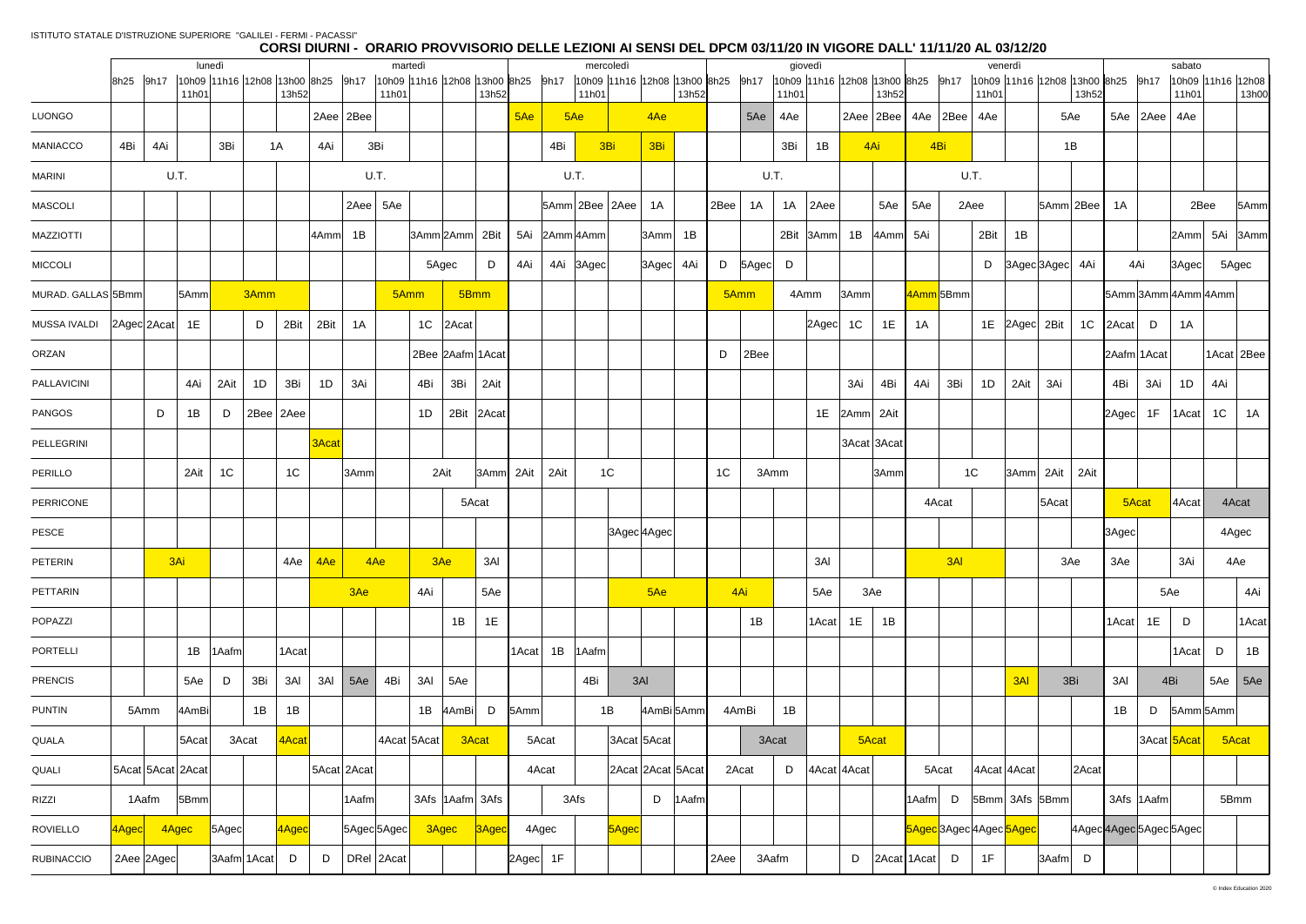|                    |                       |                   | lunedì         |           |                |         |                            | martedì |                                                                                      |                   |          |               | mercoledì                                                                    |              |      |               |       | giovedì           |                |                   |       |                                  | venerdì     |                                   |                |                 |                    | sabato                     |                |       |
|--------------------|-----------------------|-------------------|----------------|-----------|----------------|---------|----------------------------|---------|--------------------------------------------------------------------------------------|-------------------|----------|---------------|------------------------------------------------------------------------------|--------------|------|---------------|-------|-------------------|----------------|-------------------|-------|----------------------------------|-------------|-----------------------------------|----------------|-----------------|--------------------|----------------------------|----------------|-------|
|                    | 8h25 9h17             | 11h01             |                |           | 13h52          |         |                            | 11h01   | 10h09  11h16  12h08  13h00  8h25    9h17    10h09  11h16  12h08  13h00  8h25    9h17 | 13h52             |          | 11h01         | 10h09  11h16  12h08  13h00 8h25  9h17  10h09  11h16  12h08  13h00 8h25  9h17 | 13h52        |      |               | 11h01 |                   |                | 13h52             |       |                                  | 11h01       | 10h09 11h16 12h08 13h00 8h25 9h17 | 13h52          |                 |                    | 10h09 11h16 12h08<br>11h01 |                | 13h00 |
| <b>LUONGO</b>      |                       |                   |                |           |                |         | $2Aee$ $2Bee$              |         |                                                                                      |                   | 5Ae      | 5Ae           | 4Ae                                                                          |              |      | 5Ae           | 4Ae   |                   |                |                   |       | $2Aee$ $2Bee$ $4Ae$ $2Bee$ $4Ae$ |             |                                   | 5Ae            |                 | $5Ae$   2Aee   4Ae |                            |                |       |
| MANIACCO           | 4Bi                   | 4Ai               | 3Bi            | 1A        |                | 4Ai     | 3Bi                        |         |                                                                                      |                   |          | 4Bi           | 3Bi<br>3Bi                                                                   |              |      |               | 3Bi   | 1B                |                | 4Ai               |       | 4Bi                              |             |                                   | 1B             |                 |                    |                            |                |       |
| <b>MARINI</b>      |                       | U.T.              |                |           |                |         | U.T.                       |         |                                                                                      |                   |          | U.T.          |                                                                              |              |      |               | U.T.  |                   |                |                   |       | U.T.                             |             |                                   |                |                 |                    |                            |                |       |
| <b>MASCOLI</b>     |                       |                   |                |           |                |         | $2Aee$ 5Ae                 |         |                                                                                      |                   |          |               | $ 5Amm $ 2Bee $ 2Aee $ 1A                                                    |              | 2Bee | 1A            | 1A    | 2Aee              |                | 5Ae               | 5Ae   | 2Aee                             |             |                                   | $ 5Amm $ 2Bee  | 1A              |                    | 2Bee                       |                | 5Amm  |
| <b>MAZZIOTTI</b>   |                       |                   |                |           |                | 4Amm 1B |                            |         | 3Amm 2Amm 2Bit                                                                       |                   |          | 5Ai 2Amm 4Amm | 3Amm                                                                         | 1B           |      |               |       | 2Bit 3Amm 1B      |                | 4Amm 5Ai          |       |                                  | 2Bit        | 1B                                |                |                 |                    | 2Amm 5Ai 3Amm              |                |       |
| <b>MICCOLI</b>     |                       |                   |                |           |                |         |                            |         | 5Agec                                                                                | D                 | 4Ai l    | 4Ai 3Agec     | $ 3 \text{Agec} $                                                            | 4Ai          |      | D   5Agec   D |       |                   |                |                   |       |                                  |             | D 3Agec 3Agec 4Ai                 |                |                 | 4Ai                | $ 3 \text{Agec} $          | 5Agec          |       |
| MURAD. GALLAS 5Bmm |                       | 5Amm              |                | 3Amm      |                |         |                            | 5Amm    |                                                                                      | 5Bmm              |          |               |                                                                              |              |      | 5Amm          |       | 4Amm              | 3Amm           |                   |       | 4Amm 5Bmm                        |             |                                   |                |                 |                    | 5Amm 3Amm 4Amm 4Amm        |                |       |
| MUSSA IVALDI       | $2 \text{Agec}$ 2Acat | 1E                |                | D         | 2Bit           | 2Bit    | 1A                         |         | 1C 2Acat                                                                             |                   |          |               |                                                                              |              |      |               |       | $ 2 \text{Agec} $ | 1 <sup>C</sup> | 1E                | 1A    |                                  |             | 1E 2Agec 2Bit                     | 1 <sup>C</sup> | $ 2$ Acat $ $ D |                    | 1A                         |                |       |
| ORZAN              |                       |                   |                |           |                |         |                            |         | 2Bee 2Aafm 1Acat                                                                     |                   |          |               |                                                                              |              | D    | 2Bee          |       |                   |                |                   |       |                                  |             |                                   |                |                 | 2Aafm 1Acat        |                            | 1Acat 2Bee     |       |
| PALLAVICINI        |                       | 4Ai               | 2Ait           | 1D        | 3Bi            | 1D      | 3Ai                        |         | 4Bi<br>3Bi                                                                           | 2Ait              |          |               |                                                                              |              |      |               |       |                   | 3Ai            | 4Bi               | 4Ai   | 3Bi                              | 1D          | 2Ait<br>3Ai                       |                | 4Bi             | 3Ai                | 1D                         | 4Ai            |       |
| <b>PANGOS</b>      |                       | 1B<br>D           | D              | 2Bee 2Aee |                |         |                            |         | 1D<br>2Bit                                                                           | $ 2$ Acat         |          |               |                                                                              |              |      |               |       | 1E                | 2Amm 2Ait      |                   |       |                                  |             |                                   |                | 2Agec∣          | 1F                 | $ 1$ Acat $ $              | 1 <sup>C</sup> | 1A    |
| PELLEGRINI         |                       |                   |                |           |                | 3Acat   |                            |         |                                                                                      |                   |          |               |                                                                              |              |      |               |       |                   |                | 3Acat 3Acat       |       |                                  |             |                                   |                |                 |                    |                            |                |       |
| PERILLO            |                       | 2Ait              | 1 <sup>C</sup> |           | 1 <sup>C</sup> |         | 3Amm                       |         | 2Ait                                                                                 | $ 3Amm $ 2Ait     |          | 2Ait          | 1C                                                                           |              | 1C   |               | 3Amm  |                   |                | 3Amm              |       | 1 <sup>C</sup>                   |             | $ 3Amm $ 2Ait $ $                 | 2Ait           |                 |                    |                            |                |       |
| PERRICONE          |                       |                   |                |           |                |         |                            |         |                                                                                      | 5Acat             |          |               |                                                                              |              |      |               |       |                   |                |                   |       | 4Acat                            |             | 5Acat                             |                |                 | 5Acat              | 4Acat                      | 4Acat          |       |
| PESCE              |                       |                   |                |           |                |         |                            |         |                                                                                      |                   |          |               | 3Agec 4Agec                                                                  |              |      |               |       |                   |                |                   |       |                                  |             |                                   |                | 3Agec           |                    |                            | 4Agec          |       |
| PETERIN            |                       | 3Ai               |                |           | 4Ae            | 4Ae     | 4Ae                        |         | 3Ae                                                                                  | 3AI               |          |               |                                                                              |              |      |               |       | 3AI               |                |                   |       | 3AI                              |             |                                   | 3Ae            | 3Ae             |                    | 3Ai                        | 4Ae            |       |
| PETTARIN           |                       |                   |                |           |                |         | 3Ae                        |         | 4Ai                                                                                  | 5Ae               |          |               | 5Ae                                                                          |              |      | 4Ai           |       | 5Ae               |                | 3Ae               |       |                                  |             |                                   |                |                 |                    | 5Ae                        |                | 4Ai   |
| POPAZZI            |                       |                   |                |           |                |         |                            |         | 1B                                                                                   | 1E                |          |               |                                                                              |              |      | 1B            |       | 1Acat             | 1E             | 1B                |       |                                  |             |                                   |                | 1Acat           | 1E                 | D                          |                | 1Acat |
| PORTELLI           |                       | 1B                | $ 1A$ afm      |           | 1Acat          |         |                            |         |                                                                                      |                   | $1$ Acat | 1B<br>1Aafm   |                                                                              |              |      |               |       |                   |                |                   |       |                                  |             |                                   |                |                 |                    | 1Acat                      | D              | 1B    |
| <b>PRENCIS</b>     |                       | 5Ae               | D              | 3Bi       | 3AI            | 3AI     | 5Ae                        | 4Bi     | 3AI<br>5Ae                                                                           |                   |          | 4Bi           | 3AI                                                                          |              |      |               |       |                   |                |                   |       |                                  |             | 3AI                               | 3Bi            | 3AI             |                    | 4Bi                        | $5Ae$ 5Ae      |       |
| <b>PUNTIN</b>      | 5Amm                  | 4AmBi             |                | 1B        | 1B             |         |                            |         | 1B $ 4AmBi $                                                                         | D                 | 5Amm     |               | 1B                                                                           | 4AmBi 5Amm   |      | 4AmBi         | 1B    |                   |                |                   |       |                                  |             |                                   |                | 1B              | D                  | 5Amm 5Amm                  |                |       |
| QUALA              |                       | $ 5$ Acat         | 3Acat          |           | 4Acat          |         |                            |         | 4Acat 5Acat                                                                          | 3Acat             |          | 5Acat         | 3Acat 5Acat                                                                  |              |      |               | 3Acat |                   |                | 5Acat             |       |                                  |             |                                   |                |                 |                    | 3Acat 5Acat                | 5Acat          |       |
| QUALI              |                       | 5Acat 5Acat 2Acat |                |           |                |         | 5Acat 2Acat                |         |                                                                                      |                   |          | 4Acat         | 2Acat 2Acat 5Acat                                                            |              |      | 2Acat         | D     |                   | 4Acat 4Acat    |                   |       | 5Acat                            | 4Acat 4Acat |                                   | 2Acat          |                 |                    |                            |                |       |
| RIZZI              |                       | 1Aafm<br> 5Bmm    |                |           |                |         | 1Aafm                      |         | 3Afs  1Aafm  3Afs                                                                    |                   |          | 3Afs          |                                                                              | $D$   1 Aafm |      |               |       |                   |                |                   | 1Aafm | D                                |             | 5Bmm 3Afs 5Bmm                    |                |                 | 3Afs 1Aafml        |                            | 5Bmm           |       |
| <b>ROVIELLO</b>    | 4Agec                 | 4Agec             | 5Agec          |           | 4Agec          |         | 5Agec 5Agec <mark> </mark> |         | 3Agec                                                                                | 3A <sub>geo</sub> |          | 4Agec         | <mark>5Agec</mark>                                                           |              |      |               |       |                   |                |                   |       | 5Agec3Agec4Agec5Agec             |             |                                   |                |                 |                    | 4Agec4Agec5Agec5Agec       |                |       |
| <b>RUBINACCIO</b>  |                       | 2Aee 2Agec        | 3Aafm 1Acat    |           | D              | D       | DRel 2Acat                 |         |                                                                                      |                   | 2Agec 1F |               |                                                                              |              | 2Aee |               | 3Aafm |                   | D              | $ 2$ Acat 1Acat D |       |                                  | 1F          | 3Aafm D                           |                |                 |                    |                            |                |       |
|                    |                       |                   |                |           |                |         |                            |         |                                                                                      |                   |          |               |                                                                              |              |      |               |       |                   |                |                   |       |                                  |             |                                   |                |                 |                    |                            |                |       |